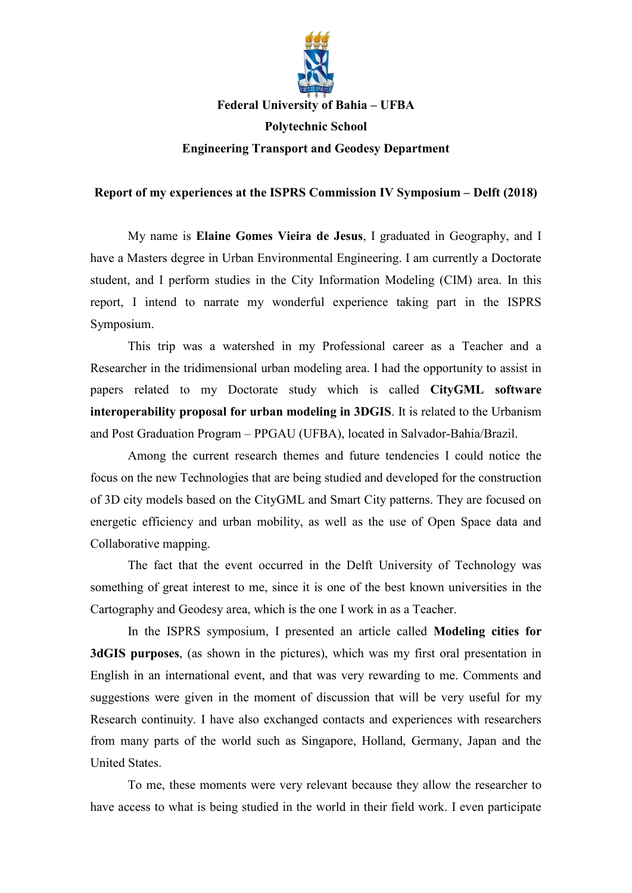

**Federal University of Bahia – UFBA**

**Polytechnic School Engineering Transport and Geodesy Department**

## **Report of my experiences at the ISPRS Commission IV Symposium – Delft (2018)**

My name is **Elaine Gomes Vieira de Jesus**, I graduated in Geography, and I have a Masters degree in Urban Environmental Engineering. I am currently a Doctorate student, and I perform studies in the City Information Modeling (CIM) area. In this report, I intend to narrate my wonderful experience taking part in the ISPRS Symposium.

This trip was a watershed in my Professional career as a Teacher and a Researcher in the tridimensional urban modeling area. I had the opportunity to assist in papers related to my Doctorate study which is called **CityGML software interoperability proposal for urban modeling in 3DGIS**. It is related to the Urbanism and Post Graduation Program – PPGAU (UFBA), located in Salvador-Bahia/Brazil.

Among the current research themes and future tendencies I could notice the focus on the new Technologies that are being studied and developed for the construction of 3D city models based on the CityGML and Smart City patterns. They are focused on energetic efficiency and urban mobility, as well as the use of Open Space data and Collaborative mapping.

The fact that the event occurred in the Delft University of Technology was something of great interest to me, since it is one of the best known universities in the Cartography and Geodesy area, which is the one I work in as a Teacher.

In the ISPRS symposium, I presented an article called **Modeling cities for 3dGIS purposes**, (as shown in the pictures), which was my first oral presentation in English in an international event, and that was very rewarding to me. Comments and suggestions were given in the moment of discussion that will be very useful for my Research continuity. I have also exchanged contacts and experiences with researchers from many parts of the world such as Singapore, Holland, Germany, Japan and the United States.

To me, these moments were very relevant because they allow the researcher to have access to what is being studied in the world in their field work. I even participate